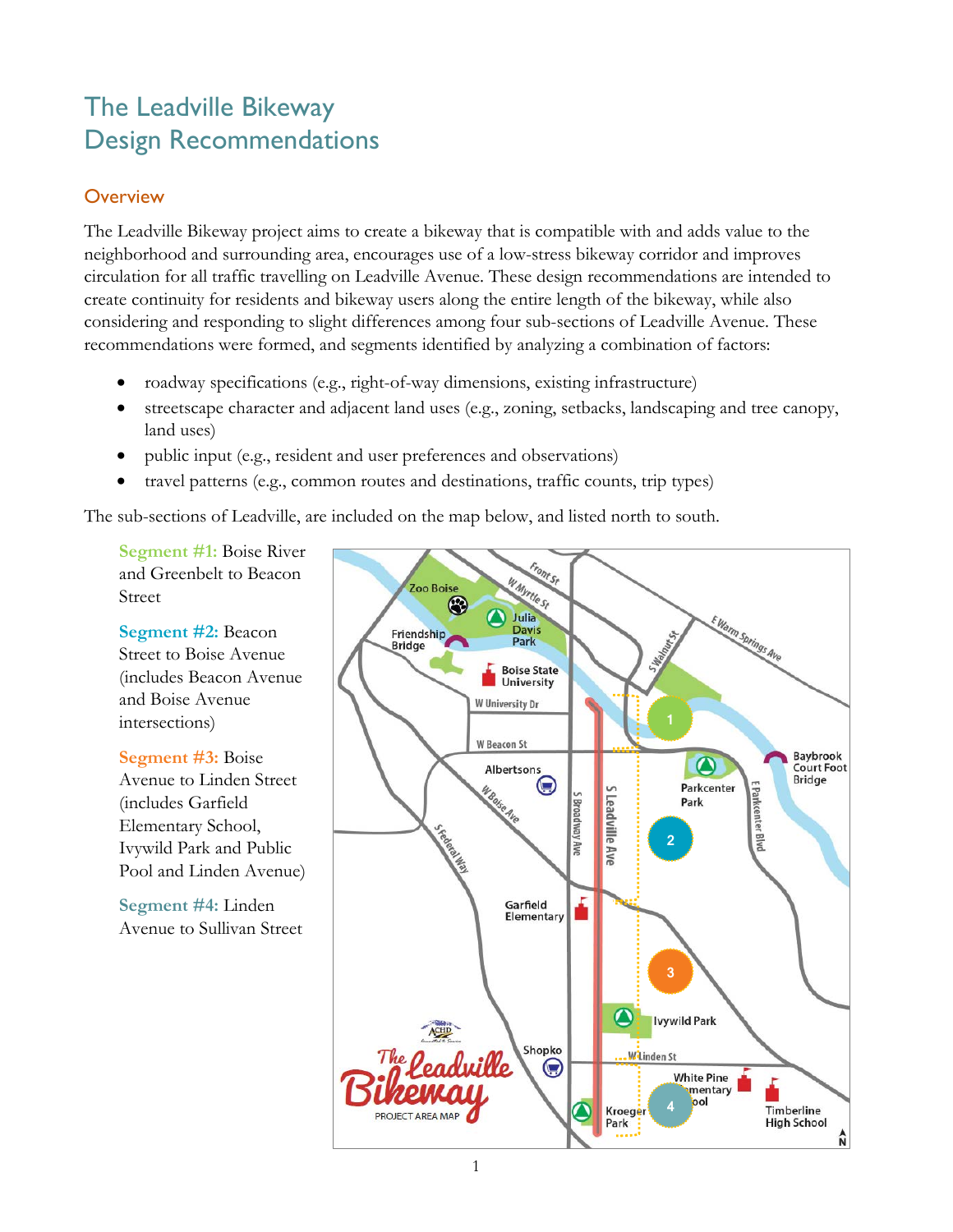# The Leadville Bikeway Design Recommendations

## **Overview**

The Leadville Bikeway project aims to create a bikeway that is compatible with and adds value to the neighborhood and surrounding area, encourages use of a low-stress bikeway corridor and improves circulation for all traffic travelling on Leadville Avenue. These design recommendations are intended to create continuity for residents and bikeway users along the entire length of the bikeway, while also considering and responding to slight differences among four sub-sections of Leadville Avenue. These recommendations were formed, and segments identified by analyzing a combination of factors:

- roadway specifications (e.g., right-of-way dimensions, existing infrastructure)
- streetscape character and adjacent land uses (e.g., zoning, setbacks, landscaping and tree canopy, land uses)
- public input (e.g., resident and user preferences and observations)
- travel patterns (e.g., common routes and destinations, traffic counts, trip types)

The sub-sections of Leadville, are included on the map below, and listed north to south.

**Segment #1:** Boise River and Greenbelt to Beacon Street

**Segment #2:** Beacon Street to Boise Avenue (includes Beacon Avenue and Boise Avenue intersections)

**Segment #3:** Boise Avenue to Linden Street (includes Garfield Elementary School, Ivywild Park and Public Pool and Linden Avenue)

**Segment #4:** Linden Avenue to Sullivan Street

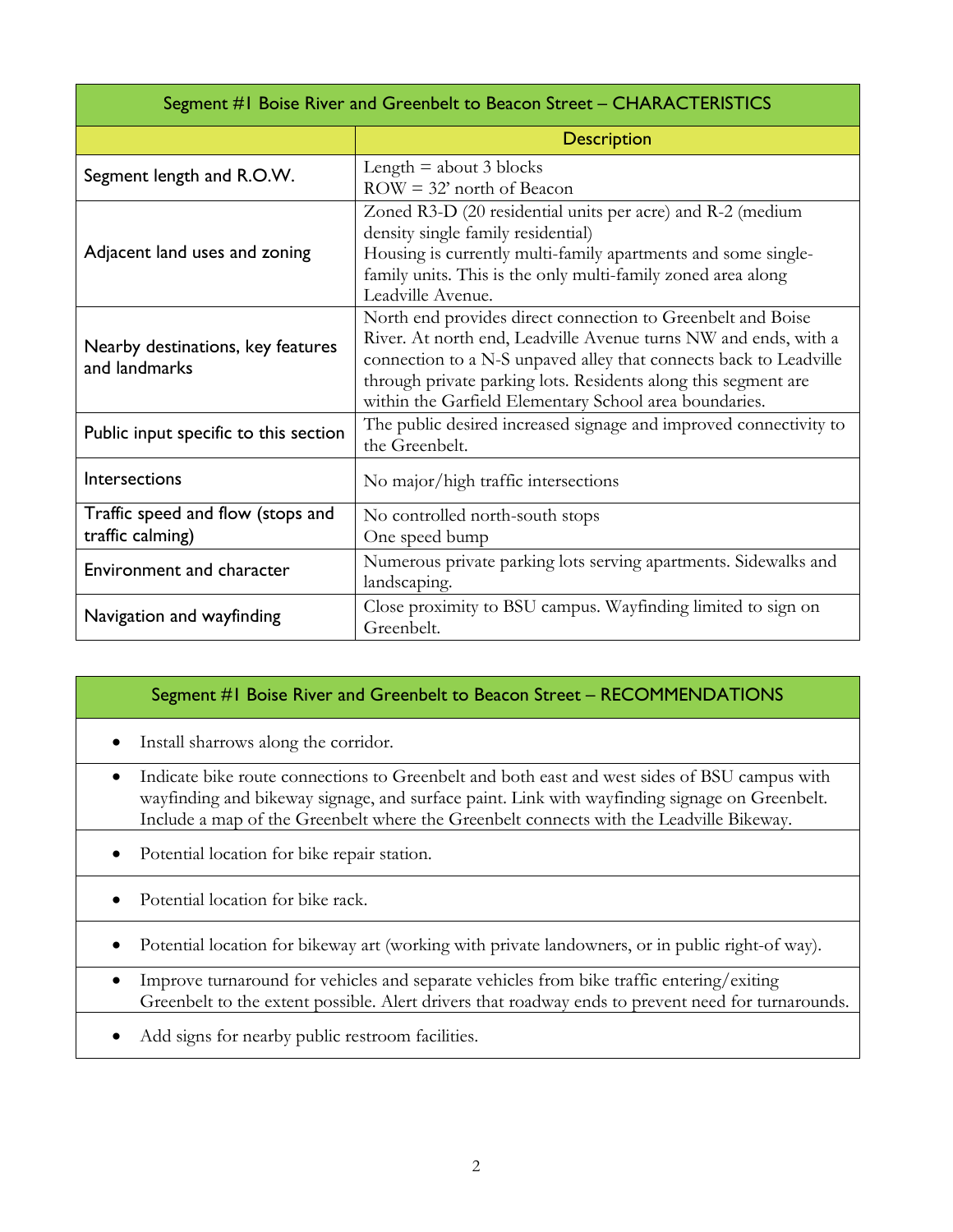| Segment #1 Boise River and Greenbelt to Beacon Street – CHARACTERISTICS |                                                                                                                                                                                                                                                                                                                                 |  |
|-------------------------------------------------------------------------|---------------------------------------------------------------------------------------------------------------------------------------------------------------------------------------------------------------------------------------------------------------------------------------------------------------------------------|--|
|                                                                         | <b>Description</b>                                                                                                                                                                                                                                                                                                              |  |
| Segment length and R.O.W.                                               | Length $=$ about 3 blocks<br>$ROW = 32'$ north of Beacon                                                                                                                                                                                                                                                                        |  |
| Adjacent land uses and zoning                                           | Zoned R3-D (20 residential units per acre) and R-2 (medium<br>density single family residential)<br>Housing is currently multi-family apartments and some single-<br>family units. This is the only multi-family zoned area along<br>Leadville Avenue.                                                                          |  |
| Nearby destinations, key features<br>and landmarks                      | North end provides direct connection to Greenbelt and Boise<br>River. At north end, Leadville Avenue turns NW and ends, with a<br>connection to a N-S unpaved alley that connects back to Leadville<br>through private parking lots. Residents along this segment are<br>within the Garfield Elementary School area boundaries. |  |
| Public input specific to this section                                   | The public desired increased signage and improved connectivity to<br>the Greenbelt.                                                                                                                                                                                                                                             |  |
| Intersections                                                           | No major/high traffic intersections                                                                                                                                                                                                                                                                                             |  |
| Traffic speed and flow (stops and<br>traffic calming)                   | No controlled north-south stops<br>One speed bump                                                                                                                                                                                                                                                                               |  |
| <b>Environment and character</b>                                        | Numerous private parking lots serving apartments. Sidewalks and<br>landscaping.                                                                                                                                                                                                                                                 |  |
| Navigation and wayfinding                                               | Close proximity to BSU campus. Wayfinding limited to sign on<br>Greenbelt.                                                                                                                                                                                                                                                      |  |

#### Segment #1 Boise River and Greenbelt to Beacon Street – RECOMMENDATIONS

- Install sharrows along the corridor.
- Indicate bike route connections to Greenbelt and both east and west sides of BSU campus with wayfinding and bikeway signage, and surface paint. Link with wayfinding signage on Greenbelt. Include a map of the Greenbelt where the Greenbelt connects with the Leadville Bikeway.
- Potential location for bike repair station.
- Potential location for bike rack.
- Potential location for bikeway art (working with private landowners, or in public right-of way).
- Improve turnaround for vehicles and separate vehicles from bike traffic entering/exiting Greenbelt to the extent possible. Alert drivers that roadway ends to prevent need for turnarounds.
- Add signs for nearby public restroom facilities.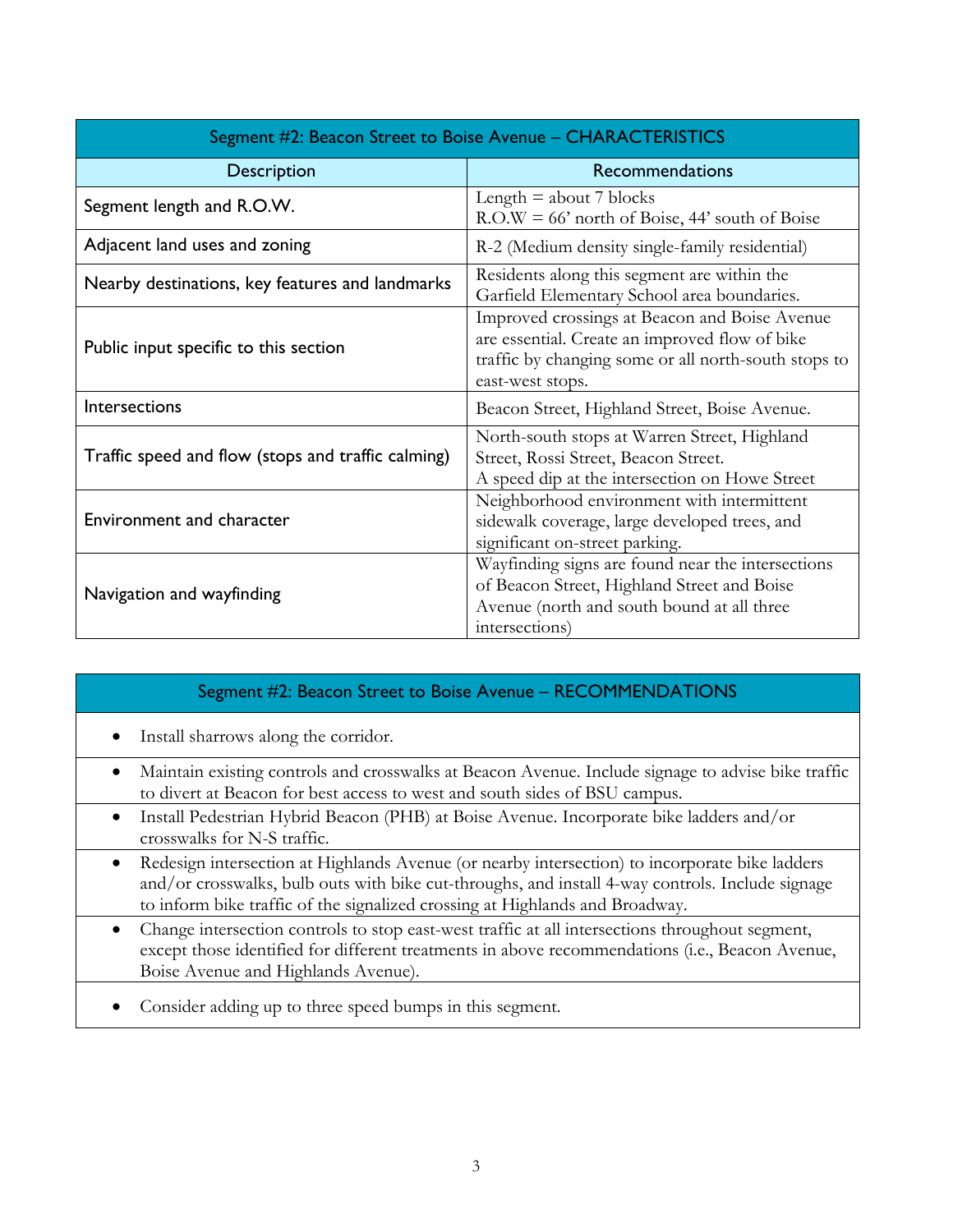| Segment #2: Beacon Street to Boise Avenue – CHARACTERISTICS |                                                                                                                                                                             |  |
|-------------------------------------------------------------|-----------------------------------------------------------------------------------------------------------------------------------------------------------------------------|--|
| <b>Description</b>                                          | <b>Recommendations</b>                                                                                                                                                      |  |
| Segment length and R.O.W.                                   | Length $=$ about 7 blocks<br>$R.O.W = 66'$ north of Boise, 44' south of Boise                                                                                               |  |
| Adjacent land uses and zoning                               | R-2 (Medium density single-family residential)                                                                                                                              |  |
| Nearby destinations, key features and landmarks             | Residents along this segment are within the<br>Garfield Elementary School area boundaries.                                                                                  |  |
| Public input specific to this section                       | Improved crossings at Beacon and Boise Avenue<br>are essential. Create an improved flow of bike<br>traffic by changing some or all north-south stops to<br>east-west stops. |  |
| Intersections                                               | Beacon Street, Highland Street, Boise Avenue.                                                                                                                               |  |
| Traffic speed and flow (stops and traffic calming)          | North-south stops at Warren Street, Highland<br>Street, Rossi Street, Beacon Street.<br>A speed dip at the intersection on Howe Street                                      |  |
| Environment and character                                   | Neighborhood environment with intermittent<br>sidewalk coverage, large developed trees, and<br>significant on-street parking.                                               |  |
| Navigation and wayfinding                                   | Wayfinding signs are found near the intersections<br>of Beacon Street, Highland Street and Boise<br>Avenue (north and south bound at all three<br>intersections)            |  |

#### Segment #2: Beacon Street to Boise Avenue – RECOMMENDATIONS

- Install sharrows along the corridor.
- Maintain existing controls and crosswalks at Beacon Avenue. Include signage to advise bike traffic to divert at Beacon for best access to west and south sides of BSU campus.
- Install Pedestrian Hybrid Beacon (PHB) at Boise Avenue. Incorporate bike ladders and/or crosswalks for N-S traffic.
- Redesign intersection at Highlands Avenue (or nearby intersection) to incorporate bike ladders and/or crosswalks, bulb outs with bike cut-throughs, and install 4-way controls. Include signage to inform bike traffic of the signalized crossing at Highlands and Broadway.
- Change intersection controls to stop east-west traffic at all intersections throughout segment, except those identified for different treatments in above recommendations (i.e., Beacon Avenue, Boise Avenue and Highlands Avenue).
- Consider adding up to three speed bumps in this segment.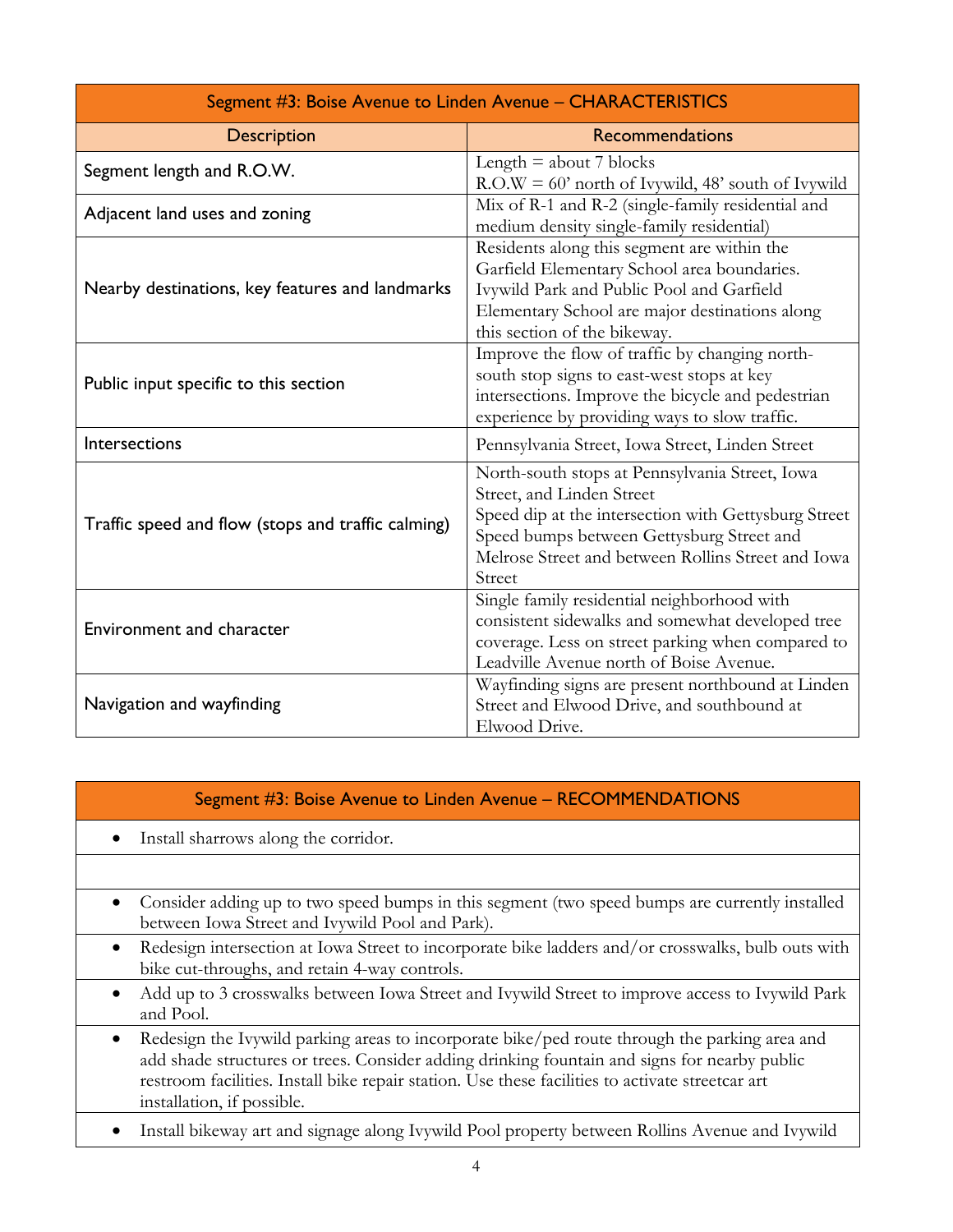| Segment #3: Boise Avenue to Linden Avenue - CHARACTERISTICS |                                                                                                                                                                                                                                                  |  |
|-------------------------------------------------------------|--------------------------------------------------------------------------------------------------------------------------------------------------------------------------------------------------------------------------------------------------|--|
| <b>Description</b>                                          | <b>Recommendations</b>                                                                                                                                                                                                                           |  |
| Segment length and R.O.W.                                   | Length $=$ about $7$ blocks<br>$R.O.W = 60'$ north of Ivywild, 48' south of Ivywild                                                                                                                                                              |  |
| Adjacent land uses and zoning                               | Mix of R-1 and R-2 (single-family residential and<br>medium density single-family residential)                                                                                                                                                   |  |
| Nearby destinations, key features and landmarks             | Residents along this segment are within the<br>Garfield Elementary School area boundaries.<br>Ivywild Park and Public Pool and Garfield<br>Elementary School are major destinations along<br>this section of the bikeway.                        |  |
| Public input specific to this section                       | Improve the flow of traffic by changing north-<br>south stop signs to east-west stops at key<br>intersections. Improve the bicycle and pedestrian<br>experience by providing ways to slow traffic.                                               |  |
| Intersections                                               | Pennsylvania Street, Iowa Street, Linden Street                                                                                                                                                                                                  |  |
| Traffic speed and flow (stops and traffic calming)          | North-south stops at Pennsylvania Street, Iowa<br>Street, and Linden Street<br>Speed dip at the intersection with Gettysburg Street<br>Speed bumps between Gettysburg Street and<br>Melrose Street and between Rollins Street and Iowa<br>Street |  |
| Environment and character                                   | Single family residential neighborhood with<br>consistent sidewalks and somewhat developed tree<br>coverage. Less on street parking when compared to<br>Leadville Avenue north of Boise Avenue.                                                  |  |
| Navigation and wayfinding                                   | Wayfinding signs are present northbound at Linden<br>Street and Elwood Drive, and southbound at<br>Elwood Drive.                                                                                                                                 |  |

## Segment #3: Boise Avenue to Linden Avenue – RECOMMENDATIONS

- Install sharrows along the corridor.
- Consider adding up to two speed bumps in this segment (two speed bumps are currently installed between Iowa Street and Ivywild Pool and Park).
- Redesign intersection at Iowa Street to incorporate bike ladders and/or crosswalks, bulb outs with bike cut-throughs, and retain 4-way controls.
- Add up to 3 crosswalks between Iowa Street and Ivywild Street to improve access to Ivywild Park and Pool.

• Redesign the Ivywild parking areas to incorporate bike/ped route through the parking area and add shade structures or trees. Consider adding drinking fountain and signs for nearby public restroom facilities. Install bike repair station. Use these facilities to activate streetcar art installation, if possible.

• Install bikeway art and signage along Ivywild Pool property between Rollins Avenue and Ivywild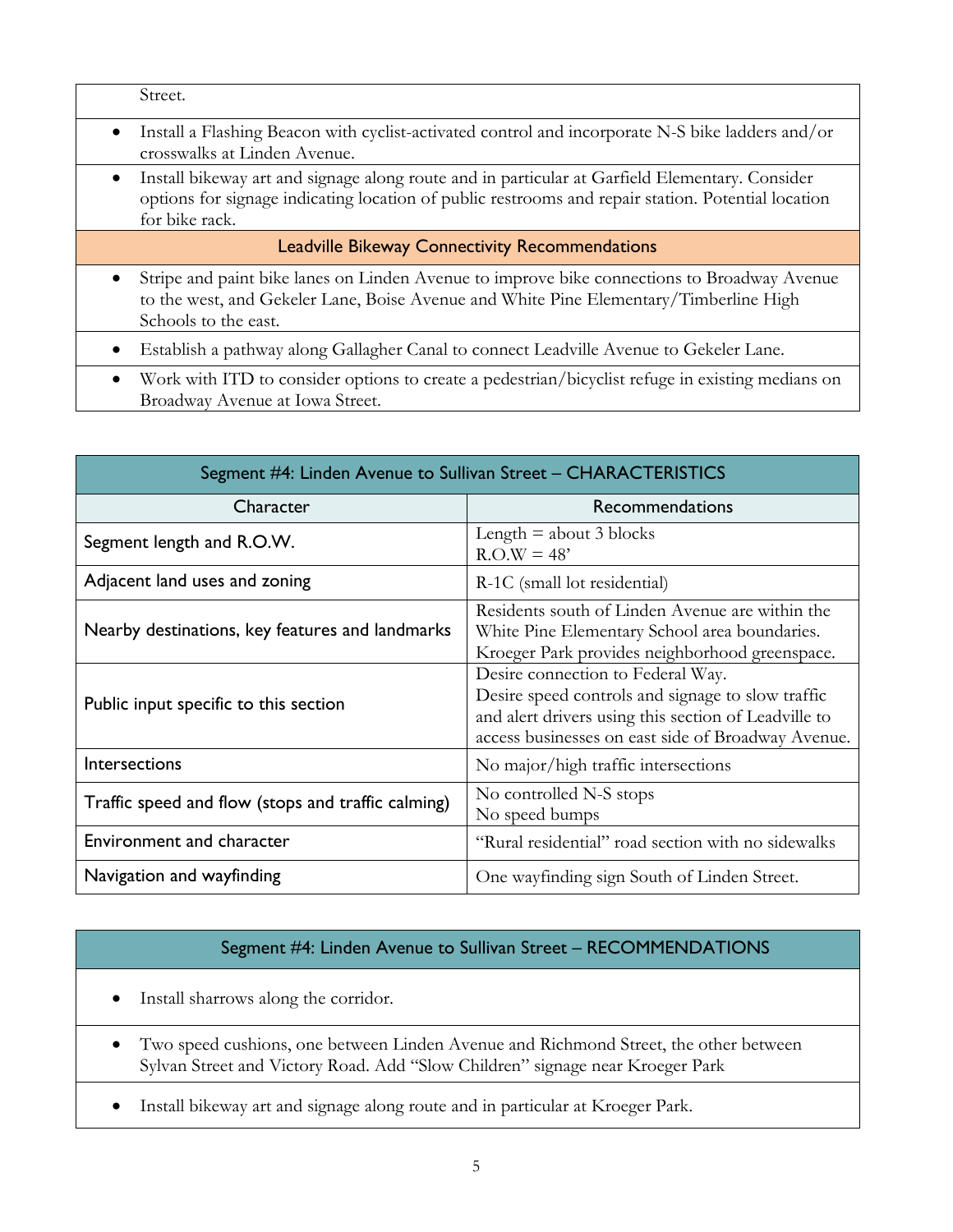| Install a Flashing Beacon with cyclist-activated control and incorporate N-S bike ladders and/or<br>$\bullet$<br>crosswalks at Linden Avenue.                                                                                       |  |  |
|-------------------------------------------------------------------------------------------------------------------------------------------------------------------------------------------------------------------------------------|--|--|
|                                                                                                                                                                                                                                     |  |  |
| Install bikeway art and signage along route and in particular at Garfield Elementary. Consider<br>$\bullet$<br>options for signage indicating location of public restrooms and repair station. Potential location<br>for bike rack. |  |  |
| <b>Leadville Bikeway Connectivity Recommendations</b>                                                                                                                                                                               |  |  |
| Stripe and paint bike lanes on Linden Avenue to improve bike connections to Broadway Avenue<br>$\bullet$<br>to the west, and Gekeler Lane, Boise Avenue and White Pine Elementary/Timberline High<br>Schools to the east.           |  |  |
| Establish a pathway along Gallagher Canal to connect Leadville Avenue to Gekeler Lane.                                                                                                                                              |  |  |
| Work with ITD to consider options to create a pedestrian/bicyclist refuge in existing medians on<br>$\bullet$<br>Broadway Avenue at Iowa Street.                                                                                    |  |  |

| Segment #4: Linden Avenue to Sullivan Street – CHARACTERISTICS |                                                                                                                                                                                                      |  |
|----------------------------------------------------------------|------------------------------------------------------------------------------------------------------------------------------------------------------------------------------------------------------|--|
| Character                                                      | <b>Recommendations</b>                                                                                                                                                                               |  |
| Segment length and R.O.W.                                      | Length $=$ about 3 blocks<br>$R.O.W = 48'$                                                                                                                                                           |  |
| Adjacent land uses and zoning                                  | R-1C (small lot residential)                                                                                                                                                                         |  |
| Nearby destinations, key features and landmarks                | Residents south of Linden Avenue are within the<br>White Pine Elementary School area boundaries.<br>Kroeger Park provides neighborhood greenspace.                                                   |  |
| Public input specific to this section                          | Desire connection to Federal Way.<br>Desire speed controls and signage to slow traffic<br>and alert drivers using this section of Leadville to<br>access businesses on east side of Broadway Avenue. |  |
| <b>Intersections</b>                                           | No major/high traffic intersections                                                                                                                                                                  |  |
| Traffic speed and flow (stops and traffic calming)             | No controlled N-S stops<br>No speed bumps                                                                                                                                                            |  |
| Environment and character                                      | "Rural residential" road section with no sidewalks                                                                                                                                                   |  |
| Navigation and wayfinding                                      | One wayfinding sign South of Linden Street.                                                                                                                                                          |  |

## Segment #4: Linden Avenue to Sullivan Street – RECOMMENDATIONS

- Install sharrows along the corridor.
- Two speed cushions, one between Linden Avenue and Richmond Street, the other between Sylvan Street and Victory Road. Add "Slow Children" signage near Kroeger Park
- Install bikeway art and signage along route and in particular at Kroeger Park.